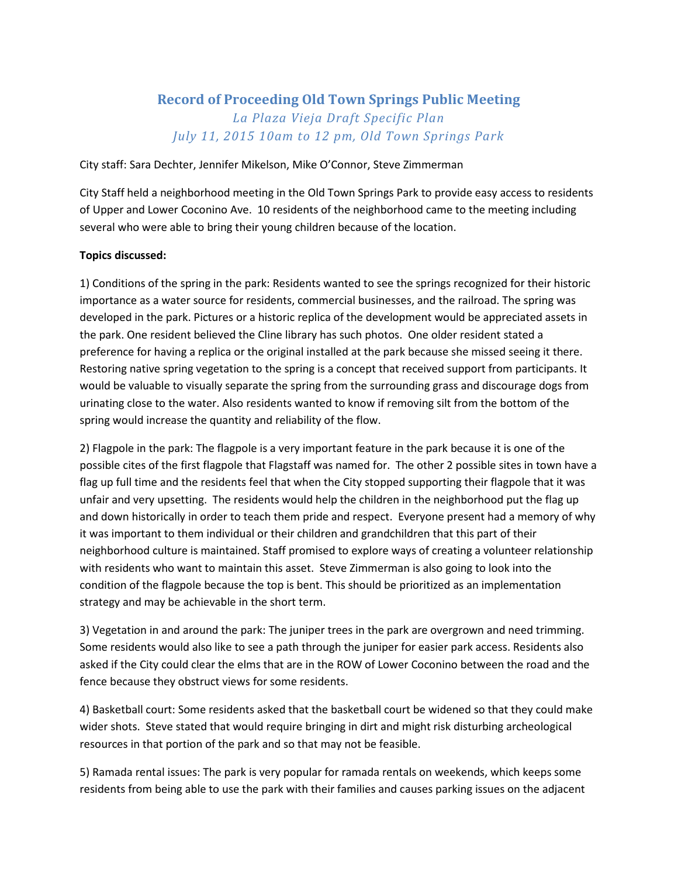## **Record of Proceeding Old Town Springs Public Meeting** *La Plaza Vieja Draft Specific Plan July 11, 2015 10am to 12 pm, Old Town Springs Park*

City staff: Sara Dechter, Jennifer Mikelson, Mike O'Connor, Steve Zimmerman

City Staff held a neighborhood meeting in the Old Town Springs Park to provide easy access to residents of Upper and Lower Coconino Ave. 10 residents of the neighborhood came to the meeting including several who were able to bring their young children because of the location.

## **Topics discussed:**

1) Conditions of the spring in the park: Residents wanted to see the springs recognized for their historic importance as a water source for residents, commercial businesses, and the railroad. The spring was developed in the park. Pictures or a historic replica of the development would be appreciated assets in the park. One resident believed the Cline library has such photos. One older resident stated a preference for having a replica or the original installed at the park because she missed seeing it there. Restoring native spring vegetation to the spring is a concept that received support from participants. It would be valuable to visually separate the spring from the surrounding grass and discourage dogs from urinating close to the water. Also residents wanted to know if removing silt from the bottom of the spring would increase the quantity and reliability of the flow.

2) Flagpole in the park: The flagpole is a very important feature in the park because it is one of the possible cites of the first flagpole that Flagstaff was named for. The other 2 possible sites in town have a flag up full time and the residents feel that when the City stopped supporting their flagpole that it was unfair and very upsetting. The residents would help the children in the neighborhood put the flag up and down historically in order to teach them pride and respect. Everyone present had a memory of why it was important to them individual or their children and grandchildren that this part of their neighborhood culture is maintained. Staff promised to explore ways of creating a volunteer relationship with residents who want to maintain this asset. Steve Zimmerman is also going to look into the condition of the flagpole because the top is bent. This should be prioritized as an implementation strategy and may be achievable in the short term.

3) Vegetation in and around the park: The juniper trees in the park are overgrown and need trimming. Some residents would also like to see a path through the juniper for easier park access. Residents also asked if the City could clear the elms that are in the ROW of Lower Coconino between the road and the fence because they obstruct views for some residents.

4) Basketball court: Some residents asked that the basketball court be widened so that they could make wider shots. Steve stated that would require bringing in dirt and might risk disturbing archeological resources in that portion of the park and so that may not be feasible.

5) Ramada rental issues: The park is very popular for ramada rentals on weekends, which keeps some residents from being able to use the park with their families and causes parking issues on the adjacent